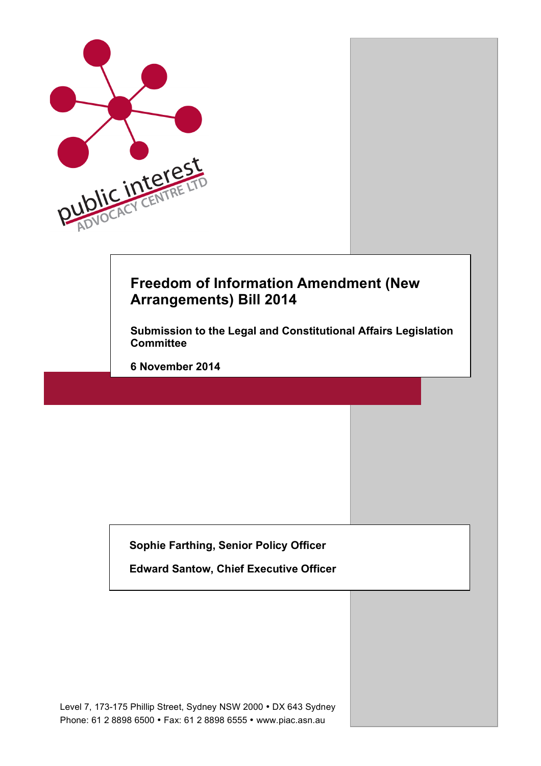

# **Freedom of Information Amendment (New Arrangements) Bill 2014**

**Submission to the Legal and Constitutional Affairs Legislation Committee**

**6 November 2014**

**Sophie Farthing, Senior Policy Officer**

**Edward Santow, Chief Executive Officer**

Level 7, 173-175 Phillip Street, Sydney NSW 2000 • DX 643 Sydney Phone: 61 2 8898 6500 • Fax: 61 2 8898 6555 • www.piac.asn.au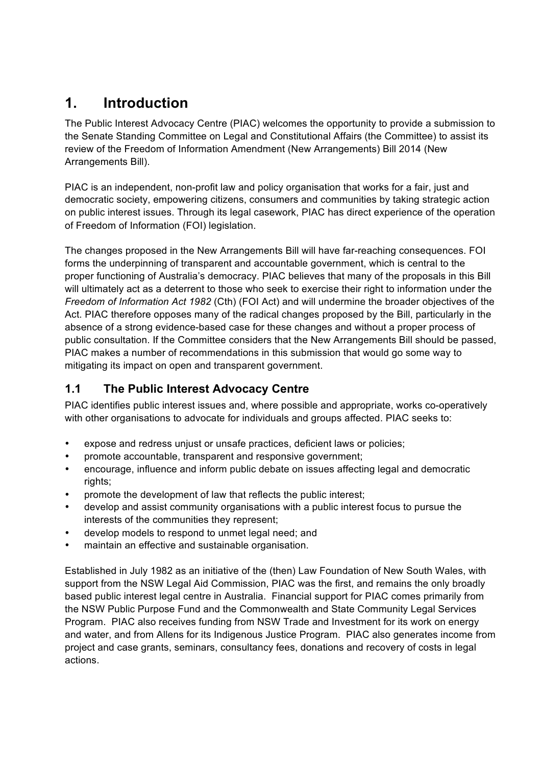# **1. Introduction**

The Public Interest Advocacy Centre (PIAC) welcomes the opportunity to provide a submission to the Senate Standing Committee on Legal and Constitutional Affairs (the Committee) to assist its review of the Freedom of Information Amendment (New Arrangements) Bill 2014 (New Arrangements Bill).

PIAC is an independent, non-profit law and policy organisation that works for a fair, just and democratic society, empowering citizens, consumers and communities by taking strategic action on public interest issues. Through its legal casework, PIAC has direct experience of the operation of Freedom of Information (FOI) legislation.

The changes proposed in the New Arrangements Bill will have far-reaching consequences. FOI forms the underpinning of transparent and accountable government, which is central to the proper functioning of Australia's democracy. PIAC believes that many of the proposals in this Bill will ultimately act as a deterrent to those who seek to exercise their right to information under the *Freedom of Information Act 1982* (Cth) (FOI Act) and will undermine the broader objectives of the Act. PIAC therefore opposes many of the radical changes proposed by the Bill, particularly in the absence of a strong evidence-based case for these changes and without a proper process of public consultation. If the Committee considers that the New Arrangements Bill should be passed, PIAC makes a number of recommendations in this submission that would go some way to mitigating its impact on open and transparent government.

# **1.1 The Public Interest Advocacy Centre**

PIAC identifies public interest issues and, where possible and appropriate, works co-operatively with other organisations to advocate for individuals and groups affected. PIAC seeks to:

- expose and redress unjust or unsafe practices, deficient laws or policies;
- promote accountable, transparent and responsive government;
- encourage, influence and inform public debate on issues affecting legal and democratic rights;
- promote the development of law that reflects the public interest;
- develop and assist community organisations with a public interest focus to pursue the interests of the communities they represent;
- develop models to respond to unmet legal need; and
- maintain an effective and sustainable organisation.

Established in July 1982 as an initiative of the (then) Law Foundation of New South Wales, with support from the NSW Legal Aid Commission, PIAC was the first, and remains the only broadly based public interest legal centre in Australia. Financial support for PIAC comes primarily from the NSW Public Purpose Fund and the Commonwealth and State Community Legal Services Program. PIAC also receives funding from NSW Trade and Investment for its work on energy and water, and from Allens for its Indigenous Justice Program. PIAC also generates income from project and case grants, seminars, consultancy fees, donations and recovery of costs in legal actions.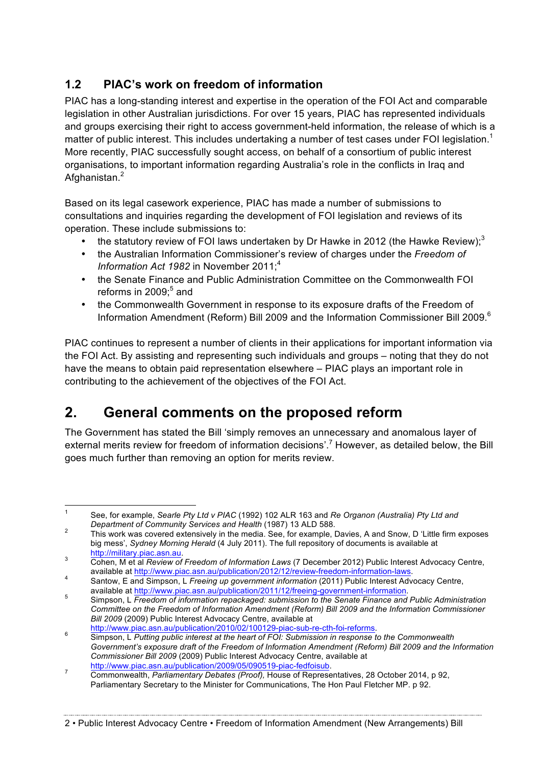# **1.2 PIAC's work on freedom of information**

PIAC has a long-standing interest and expertise in the operation of the FOI Act and comparable legislation in other Australian jurisdictions. For over 15 years, PIAC has represented individuals and groups exercising their right to access government-held information, the release of which is a matter of public interest. This includes undertaking a number of test cases under FOI legislation.<sup>1</sup> More recently, PIAC successfully sought access, on behalf of a consortium of public interest organisations, to important information regarding Australia's role in the conflicts in Iraq and Afghanistan.<sup>2</sup>

Based on its legal casework experience, PIAC has made a number of submissions to consultations and inquiries regarding the development of FOI legislation and reviews of its operation. These include submissions to:

- the statutory review of FOI laws undertaken by Dr Hawke in 2012 (the Hawke Review);<sup>3</sup>
- the Australian Information Commissioner's review of charges under the *Freedom of Information Act 1982* in November 2011:<sup>4</sup>
- the Senate Finance and Public Administration Committee on the Commonwealth FOI reforms in 2009; <sup>5</sup> and
- the Commonwealth Government in response to its exposure drafts of the Freedom of Information Amendment (Reform) Bill 2009 and the Information Commissioner Bill 2009.<sup>6</sup>

PIAC continues to represent a number of clients in their applications for important information via the FOI Act. By assisting and representing such individuals and groups – noting that they do not have the means to obtain paid representation elsewhere – PIAC plays an important role in contributing to the achievement of the objectives of the FOI Act.

# **2. General comments on the proposed reform**

The Government has stated the Bill 'simply removes an unnecessary and anomalous layer of external merits review for freedom of information decisions'.<sup>7</sup> However, as detailed below, the Bill goes much further than removing an option for merits review.

 <sup>1</sup> See, for example, *Searle Pty Ltd v PIAC* (1992) 102 ALR 163 and *Re Organon (Australia) Pty Ltd and* 

*Department of Community Services and Health* (1987) 13 ALD 588. 2 This work was covered extensively in the media. See, for example, Davies, A and Snow, D 'Little firm exposes big mess', *Sydney Morning Herald* (4 July 2011). The full repository of documents is available at http://military.piac.asn.au.

From The Terminical Press.<br>Cohen, M et al *Review of Freedom of Information Laws* (7 December 2012) Public Interest Advocacy Centre,<br>available at http://www.piac.asn.au/publication/2012/12/review-freedom-information-laws.

available at http://www.piac.asn.au/publication/2012/12/review-freedom-information-laws. 4 Santow, E and Simpson, L *Freeing up government information* (2011) Public Interest Advocacy Centre,

available at http://www.piac.asn.au/publication/2011/12/freeing-government-information. <sup>5</sup> Simpson, L *Freedom of information repackaged: submission to the Senate Finance and Public Administration Committee on the Freedom of Information Amendment (Reform) Bill 2009 and the Information Commissioner Bill 2009* (2009) Public Interest Advocacy Centre, available at

http://www.piac.asn.au/publication/2010/02/100129-piac-sub-re-cth-foi-reforms. <sup>6</sup> Simpson, L *Putting public interest at the heart of FOI: Submission in response to the Commonwealth* 

*Government's exposure draft of the Freedom of Information Amendment (Reform) Bill 2009 and the Information Commissioner Bill 2009* (2009) Public Interest Advocacy Centre, available at

http://www.piac.asn.au/publication/2009/05/090519-piac-fedfoisub. <sup>7</sup> Commonwealth, *Parliamentary Debates (Proof),* House of Representatives, 28 October 2014, p 92, Parliamentary Secretary to the Minister for Communications, The Hon Paul Fletcher MP. p 92.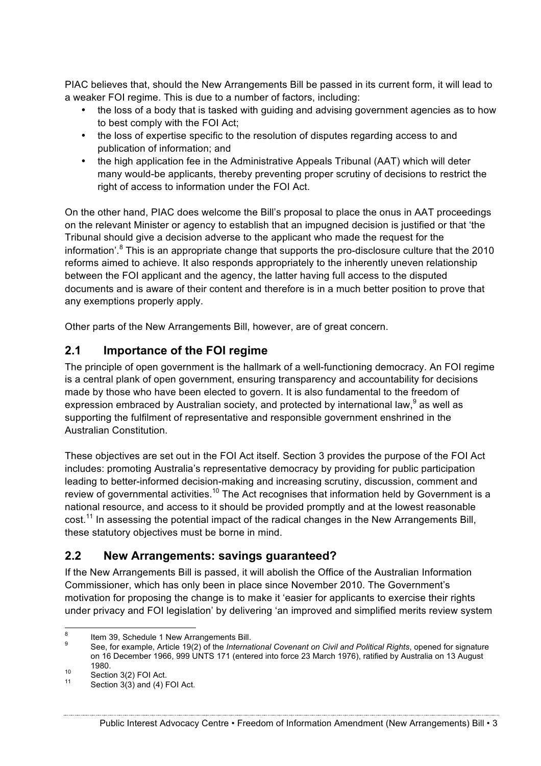PIAC believes that, should the New Arrangements Bill be passed in its current form, it will lead to a weaker FOI regime. This is due to a number of factors, including:

- the loss of a body that is tasked with guiding and advising government agencies as to how to best comply with the FOI Act;
- the loss of expertise specific to the resolution of disputes regarding access to and publication of information; and
- the high application fee in the Administrative Appeals Tribunal (AAT) which will deter many would-be applicants, thereby preventing proper scrutiny of decisions to restrict the right of access to information under the FOI Act.

On the other hand, PIAC does welcome the Bill's proposal to place the onus in AAT proceedings on the relevant Minister or agency to establish that an impugned decision is justified or that 'the Tribunal should give a decision adverse to the applicant who made the request for the information'. $8$  This is an appropriate change that supports the pro-disclosure culture that the 2010 reforms aimed to achieve. It also responds appropriately to the inherently uneven relationship between the FOI applicant and the agency, the latter having full access to the disputed documents and is aware of their content and therefore is in a much better position to prove that any exemptions properly apply.

Other parts of the New Arrangements Bill, however, are of great concern.

## **2.1 Importance of the FOI regime**

The principle of open government is the hallmark of a well-functioning democracy. An FOI regime is a central plank of open government, ensuring transparency and accountability for decisions made by those who have been elected to govern. It is also fundamental to the freedom of expression embraced by Australian society, and protected by international law,  $9$  as well as supporting the fulfilment of representative and responsible government enshrined in the Australian Constitution.

These objectives are set out in the FOI Act itself. Section 3 provides the purpose of the FOI Act includes: promoting Australia's representative democracy by providing for public participation leading to better-informed decision-making and increasing scrutiny, discussion, comment and review of governmental activities.<sup>10</sup> The Act recognises that information held by Government is a national resource, and access to it should be provided promptly and at the lowest reasonable cost.<sup>11</sup> In assessing the potential impact of the radical changes in the New Arrangements Bill, these statutory objectives must be borne in mind.

### **2.2 New Arrangements: savings guaranteed?**

If the New Arrangements Bill is passed, it will abolish the Office of the Australian Information Commissioner, which has only been in place since November 2010. The Government's motivation for proposing the change is to make it 'easier for applicants to exercise their rights under privacy and FOI legislation' by delivering 'an improved and simplified merits review system

<sup>&</sup>lt;sup>8</sup> Item 39, Schedule 1 New Arrangements Bill.<br><sup>9</sup> See, for example, Article 19(2) of the *International Covenant on Civil and Political Rights*, opened for signature on 16 December 1966, 999 UNTS 171 (entered into force 23 March 1976), ratified by Australia on 13 August 1980.<br>
<sup>10</sup> Section 3(2) FOI Act.<br>
<sup>11</sup> Section 3(3) and (4) FOI Act.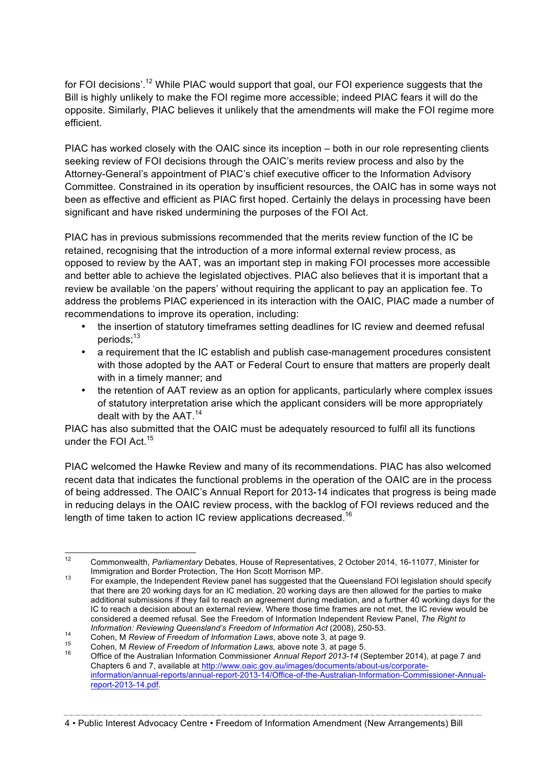for FOI decisions'.<sup>12</sup> While PIAC would support that goal, our FOI experience suggests that the Bill is highly unlikely to make the FOI regime more accessible; indeed PIAC fears it will do the opposite. Similarly, PIAC believes it unlikely that the amendments will make the FOI regime more efficient.

PIAC has worked closely with the OAIC since its inception – both in our role representing clients seeking review of FOI decisions through the OAIC's merits review process and also by the Attorney-General's appointment of PIAC's chief executive officer to the Information Advisory Committee. Constrained in its operation by insufficient resources, the OAIC has in some ways not been as effective and efficient as PIAC first hoped. Certainly the delays in processing have been significant and have risked undermining the purposes of the FOI Act.

PIAC has in previous submissions recommended that the merits review function of the IC be retained, recognising that the introduction of a more informal external review process, as opposed to review by the AAT, was an important step in making FOI processes more accessible and better able to achieve the legislated objectives. PIAC also believes that it is important that a review be available 'on the papers' without requiring the applicant to pay an application fee. To address the problems PIAC experienced in its interaction with the OAIC, PIAC made a number of recommendations to improve its operation, including:

- the insertion of statutory timeframes setting deadlines for IC review and deemed refusal periods:<sup>13</sup>
- a requirement that the IC establish and publish case-management procedures consistent with those adopted by the AAT or Federal Court to ensure that matters are properly dealt with in a timely manner; and
- the retention of AAT review as an option for applicants, particularly where complex issues of statutory interpretation arise which the applicant considers will be more appropriately dealt with by the  $AAT<sup>14</sup>$

PIAC has also submitted that the OAIC must be adequately resourced to fulfil all its functions under the FOI Act.15

PIAC welcomed the Hawke Review and many of its recommendations. PIAC has also welcomed recent data that indicates the functional problems in the operation of the OAIC are in the process of being addressed. The OAIC's Annual Report for 2013-14 indicates that progress is being made in reducing delays in the OAIC review process, with the backlog of FOI reviews reduced and the length of time taken to action IC review applications decreased.<sup>16</sup>

4 • Public Interest Advocacy Centre • Freedom of Information Amendment (New Arrangements) Bill

 <sup>12</sup> Commonwealth, *Parliamentary* Debates, House of Representatives, 2 October 2014, 16-11077, Minister for

Immigration and Border Protection, The Hon Scott Morrison MP.<br>For example, the Independent Review panel has suggested that the Queensland FOI legislation should specify that there are 20 working days for an IC mediation, 20 working days are then allowed for the parties to make additional submissions if they fail to reach an agreement during mediation, and a further 40 working days for the IC to reach a decision about an external review. Where those time frames are not met, the IC review would be considered a deemed refusal. See the Freedom of Information Independent Review Panel, *The Right to* 

Information: Reviewing Queensland's Freedom of Information Act (2008), 250-53.<br>
Cohen, M Review of Freedom of Information Laws, above note 3, at page 9.<br>
Cohen, M Review of Freedom of Information Laws, above note 3, at pag Chapters 6 and 7, available at http://www.oaic.gov.au/images/documents/about-us/corporateinformation/annual-reports/annual-report-2013-14/Office-of-the-Australian-Information-Commissioner-Annualreport-2013-14.pdf.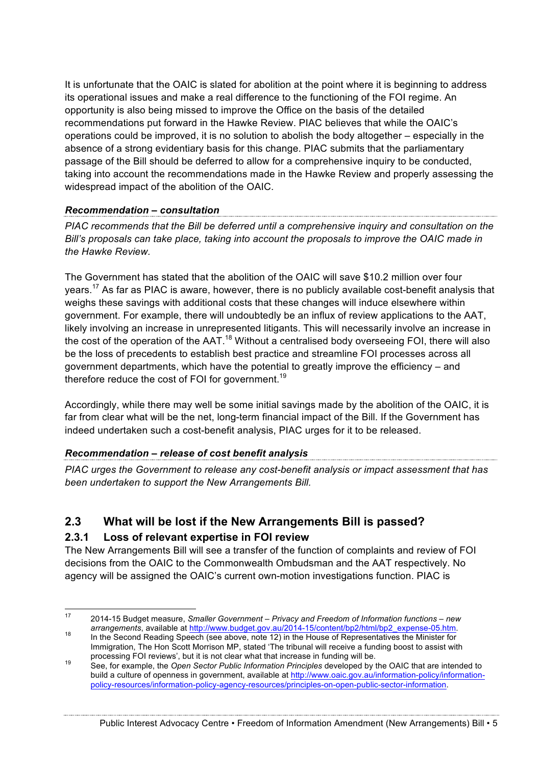It is unfortunate that the OAIC is slated for abolition at the point where it is beginning to address its operational issues and make a real difference to the functioning of the FOI regime. An opportunity is also being missed to improve the Office on the basis of the detailed recommendations put forward in the Hawke Review. PIAC believes that while the OAIC's operations could be improved, it is no solution to abolish the body altogether – especially in the absence of a strong evidentiary basis for this change. PIAC submits that the parliamentary passage of the Bill should be deferred to allow for a comprehensive inquiry to be conducted, taking into account the recommendations made in the Hawke Review and properly assessing the widespread impact of the abolition of the OAIC.

# *Recommendation – consultation*

*PIAC recommends that the Bill be deferred until a comprehensive inquiry and consultation on the Bill's proposals can take place, taking into account the proposals to improve the OAIC made in the Hawke Review.*

The Government has stated that the abolition of the OAIC will save \$10.2 million over four years.<sup>17</sup> As far as PIAC is aware, however, there is no publicly available cost-benefit analysis that weighs these savings with additional costs that these changes will induce elsewhere within government. For example, there will undoubtedly be an influx of review applications to the AAT, likely involving an increase in unrepresented litigants. This will necessarily involve an increase in the cost of the operation of the AAT.<sup>18</sup> Without a centralised body overseeing FOI, there will also be the loss of precedents to establish best practice and streamline FOI processes across all government departments, which have the potential to greatly improve the efficiency – and therefore reduce the cost of FOI for government.<sup>19</sup>

Accordingly, while there may well be some initial savings made by the abolition of the OAIC, it is far from clear what will be the net, long-term financial impact of the Bill. If the Government has indeed undertaken such a cost-benefit analysis, PIAC urges for it to be released.

### *Recommendation – release of cost benefit analysis*

*PIAC urges the Government to release any cost-benefit analysis or impact assessment that has been undertaken to support the New Arrangements Bill.* 

### **2.3 What will be lost if the New Arrangements Bill is passed?**

#### **2.3.1 Loss of relevant expertise in FOI review**

The New Arrangements Bill will see a transfer of the function of complaints and review of FOI decisions from the OAIC to the Commonwealth Ombudsman and the AAT respectively. No agency will be assigned the OAIC's current own-motion investigations function. PIAC is

 <sup>17</sup> 2014-15 Budget measure, *Smaller Government – Privacy and Freedom of Information functions – new arrangements*, available at http://www.budget.gov.au/2014-15/content/bp2/html/bp2\_expense-05.htm. 18 In the Second Reading Speech (see above, note 12) in the House of Representatives the Minister for

Immigration, The Hon Scott Morrison MP, stated 'The tribunal will receive a funding boost to assist with

processing FOI reviews', but it is not clear what that increase in funding will be.<br><sup>19</sup> See, for example, the *Open Sector Public Information Principles* developed by the OAIC that are intended to build a culture of openness in government, available at http://www.oaic.gov.au/information-policy/informationpolicy-resources/information-policy-agency-resources/principles-on-open-public-sector-information.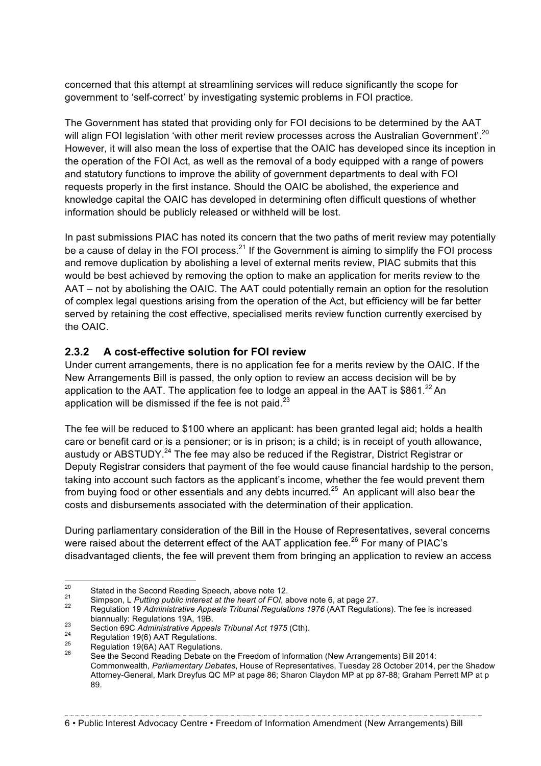concerned that this attempt at streamlining services will reduce significantly the scope for government to 'self-correct' by investigating systemic problems in FOI practice.

The Government has stated that providing only for FOI decisions to be determined by the AAT will align FOI legislation 'with other merit review processes across the Australian Government'.<sup>20</sup> However, it will also mean the loss of expertise that the OAIC has developed since its inception in the operation of the FOI Act, as well as the removal of a body equipped with a range of powers and statutory functions to improve the ability of government departments to deal with FOI requests properly in the first instance. Should the OAIC be abolished, the experience and knowledge capital the OAIC has developed in determining often difficult questions of whether information should be publicly released or withheld will be lost.

In past submissions PIAC has noted its concern that the two paths of merit review may potentially be a cause of delay in the FOI process. $^{21}$  If the Government is aiming to simplify the FOI process and remove duplication by abolishing a level of external merits review, PIAC submits that this would be best achieved by removing the option to make an application for merits review to the AAT – not by abolishing the OAIC. The AAT could potentially remain an option for the resolution of complex legal questions arising from the operation of the Act, but efficiency will be far better served by retaining the cost effective, specialised merits review function currently exercised by the OAIC.

#### **2.3.2 A cost-effective solution for FOI review**

Under current arrangements, there is no application fee for a merits review by the OAIC. If the New Arrangements Bill is passed, the only option to review an access decision will be by application to the AAT. The application fee to lodge an appeal in the AAT is \$861. $^{22}$  An application will be dismissed if the fee is not paid. $23$ 

The fee will be reduced to \$100 where an applicant: has been granted legal aid; holds a health care or benefit card or is a pensioner; or is in prison; is a child; is in receipt of youth allowance, austudy or ABSTUDY.<sup>24</sup> The fee may also be reduced if the Registrar, District Registrar or Deputy Registrar considers that payment of the fee would cause financial hardship to the person, taking into account such factors as the applicant's income, whether the fee would prevent them from buying food or other essentials and any debts incurred.<sup>25</sup> An applicant will also bear the costs and disbursements associated with the determination of their application.

During parliamentary consideration of the Bill in the House of Representatives, several concerns were raised about the deterrent effect of the AAT application fee.<sup>26</sup> For many of PIAC's disadvantaged clients, the fee will prevent them from bringing an application to review an access

6 • Public Interest Advocacy Centre • Freedom of Information Amendment (New Arrangements) Bill

<sup>&</sup>lt;sup>20</sup><br>Stated in the Second Reading Speech, above note 12.<br>Simpson, L Putting public interest at the heart of FOI, above note 6, at page 27.<br>Regulation 19 Administrative Appeals Tribunal Regulations 1976 (AAT Regulations). biannually: Regulations 19A, 19B.<br>
<sup>23</sup> Section 69C *Administrative Appeals Tribunal Act 1975* (Cth).<br>
<sup>24</sup> Regulation 19(6) AAT Regulations.<br>
<sup>25</sup> Regulation 19(6A) AAT Regulations.<br>
<sup>26</sup> See the Second Reading Debate on

Commonwealth, *Parliamentary Debates*, House of Representatives, Tuesday 28 October 2014, per the Shadow Attorney-General, Mark Dreyfus QC MP at page 86; Sharon Claydon MP at pp 87-88; Graham Perrett MP at p 89.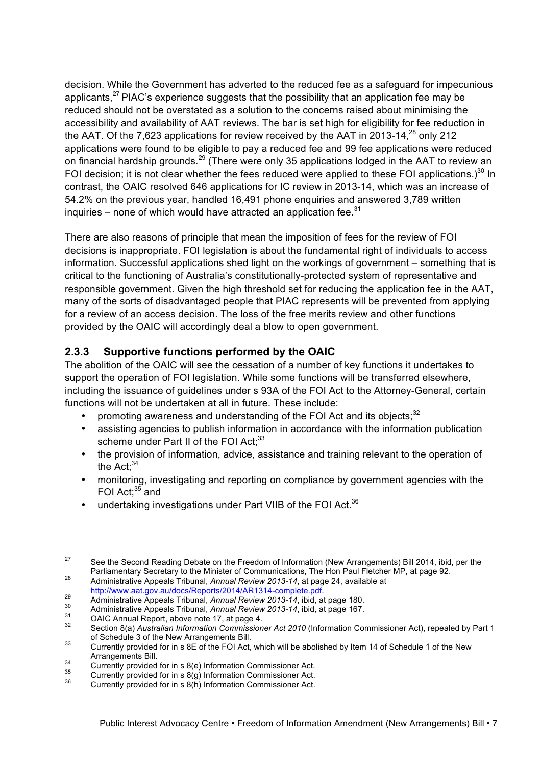decision. While the Government has adverted to the reduced fee as a safeguard for impecunious applicants, $27$  PIAC's experience suggests that the possibility that an application fee may be reduced should not be overstated as a solution to the concerns raised about minimising the accessibility and availability of AAT reviews. The bar is set high for eligibility for fee reduction in the AAT. Of the 7,623 applications for review received by the AAT in 2013-14, $^{28}$  only 212 applications were found to be eligible to pay a reduced fee and 99 fee applications were reduced on financial hardship grounds.<sup>29</sup> (There were only 35 applications lodged in the AAT to review an FOI decision; it is not clear whether the fees reduced were applied to these FOI applications.)<sup>30</sup> In contrast, the OAIC resolved 646 applications for IC review in 2013-14, which was an increase of 54.2% on the previous year, handled 16,491 phone enquiries and answered 3,789 written inquiries – none of which would have attracted an application fee. $31$ 

There are also reasons of principle that mean the imposition of fees for the review of FOI decisions is inappropriate. FOI legislation is about the fundamental right of individuals to access information. Successful applications shed light on the workings of government – something that is critical to the functioning of Australia's constitutionally-protected system of representative and responsible government. Given the high threshold set for reducing the application fee in the AAT, many of the sorts of disadvantaged people that PIAC represents will be prevented from applying for a review of an access decision. The loss of the free merits review and other functions provided by the OAIC will accordingly deal a blow to open government.

### **2.3.3 Supportive functions performed by the OAIC**

The abolition of the OAIC will see the cessation of a number of key functions it undertakes to support the operation of FOI legislation. While some functions will be transferred elsewhere, including the issuance of guidelines under s 93A of the FOI Act to the Attorney-General, certain functions will not be undertaken at all in future. These include:

- promoting awareness and understanding of the FOI Act and its objects; $32$
- assisting agencies to publish information in accordance with the information publication scheme under Part II of the FOI Act:<sup>33</sup>
- the provision of information, advice, assistance and training relevant to the operation of the  $Act:34$
- monitoring, investigating and reporting on compliance by government agencies with the FOI Act; $35$  and
- undertaking investigations under Part VIIB of the FOI Act.<sup>36</sup>

<sup>&</sup>lt;sup>27</sup> See the Second Reading Debate on the Freedom of Information (New Arrangements) Bill 2014, ibid, per the Parliamentary Secretary to the Minister of Communications. The Hon Paul Fletcher MP, at page 92.

Parliamentary Secretary to the Minister of Communications, The Hon Paul Pletcher Memmistrative Appeals Tribunal, *Annual Review 2013-14*, at page 24, available at http://www.aat.gov.au/docs/Reports/2014/AR1314-complete.pdf

Administrative Appeals Tribunal, Annual Review 2013-14, ibid, at page 180.<br>
Administrative Appeals Tribunal, Annual Review 2013-14, ibid, at page 180.<br>
OAIC Annual Report, above note 17, at page 4.<br>
Section 8(a) Australian of Schedule 3 of the New Arrangements Bill.<br>33 Currently provided for in s 8E of the FOI Act, which will be abolished by Item 14 of Schedule 1 of the New

Arrangements Bill.<br>
34 Currently provided for in s 8(e) Information Commissioner Act.<br>
36 Currently provided for in s 8(h) Information Commissioner Act.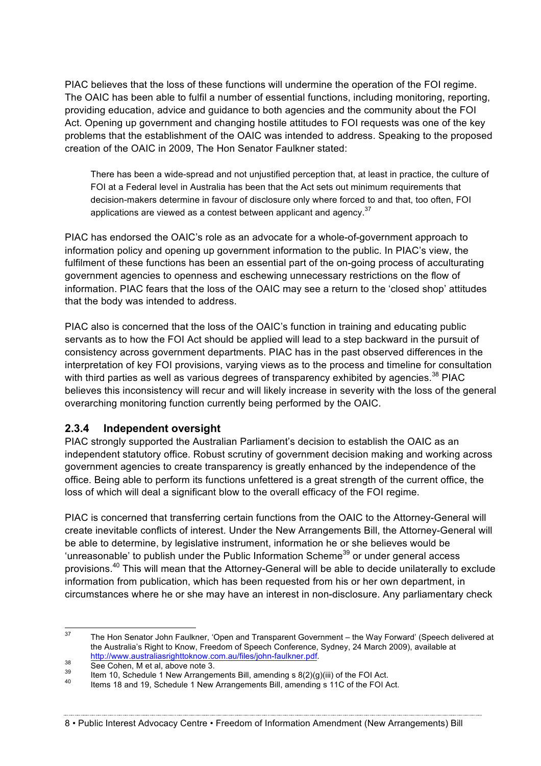PIAC believes that the loss of these functions will undermine the operation of the FOI regime. The OAIC has been able to fulfil a number of essential functions, including monitoring, reporting, providing education, advice and guidance to both agencies and the community about the FOI Act. Opening up government and changing hostile attitudes to FOI requests was one of the key problems that the establishment of the OAIC was intended to address. Speaking to the proposed creation of the OAIC in 2009, The Hon Senator Faulkner stated:

There has been a wide-spread and not unjustified perception that, at least in practice, the culture of FOI at a Federal level in Australia has been that the Act sets out minimum requirements that decision-makers determine in favour of disclosure only where forced to and that, too often, FOI applications are viewed as a contest between applicant and agency.<sup>37</sup>

PIAC has endorsed the OAIC's role as an advocate for a whole-of-government approach to information policy and opening up government information to the public. In PIAC's view, the fulfilment of these functions has been an essential part of the on-going process of acculturating government agencies to openness and eschewing unnecessary restrictions on the flow of information. PIAC fears that the loss of the OAIC may see a return to the 'closed shop' attitudes that the body was intended to address.

PIAC also is concerned that the loss of the OAIC's function in training and educating public servants as to how the FOI Act should be applied will lead to a step backward in the pursuit of consistency across government departments. PIAC has in the past observed differences in the interpretation of key FOI provisions, varying views as to the process and timeline for consultation with third parties as well as various degrees of transparency exhibited by agencies.<sup>38</sup> PIAC believes this inconsistency will recur and will likely increase in severity with the loss of the general overarching monitoring function currently being performed by the OAIC.

#### **2.3.4 Independent oversight**

PIAC strongly supported the Australian Parliament's decision to establish the OAIC as an independent statutory office. Robust scrutiny of government decision making and working across government agencies to create transparency is greatly enhanced by the independence of the office. Being able to perform its functions unfettered is a great strength of the current office, the loss of which will deal a significant blow to the overall efficacy of the FOI regime.

PIAC is concerned that transferring certain functions from the OAIC to the Attorney-General will create inevitable conflicts of interest. Under the New Arrangements Bill, the Attorney-General will be able to determine, by legislative instrument, information he or she believes would be 'unreasonable' to publish under the Public Information Scheme<sup>39</sup> or under general access provisions.<sup>40</sup> This will mean that the Attorney-General will be able to decide unilaterally to exclude information from publication, which has been requested from his or her own department, in circumstances where he or she may have an interest in non-disclosure. Any parliamentary check

#### 8 • Public Interest Advocacy Centre • Freedom of Information Amendment (New Arrangements) Bill

<sup>&</sup>lt;sup>37</sup> The Hon Senator John Faulkner, 'Open and Transparent Government – the Way Forward' (Speech delivered at the Australia's Right to Know, Freedom of Speech Conference, Sydney, 24 March 2009), available at

http://www.australiasrighttoknow.com.au/files/john-faulkner.pdf.<br>
See Cohen, M et al, above note 3.<br>
Item 10, Schedule 1 New Arrangements Bill, amending s 8(2)(g)(iii) of the FOI Act.<br>
Items 18 and 19. Schedule 1 New Arran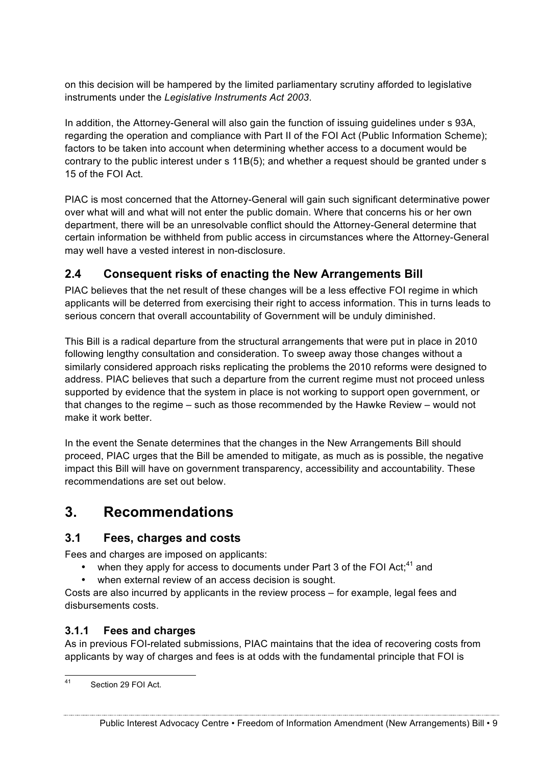on this decision will be hampered by the limited parliamentary scrutiny afforded to legislative instruments under the *Legislative Instruments Act 2003*.

In addition, the Attorney-General will also gain the function of issuing guidelines under s 93A, regarding the operation and compliance with Part II of the FOI Act (Public Information Scheme); factors to be taken into account when determining whether access to a document would be contrary to the public interest under s 11B(5); and whether a request should be granted under s 15 of the FOI Act.

PIAC is most concerned that the Attorney-General will gain such significant determinative power over what will and what will not enter the public domain. Where that concerns his or her own department, there will be an unresolvable conflict should the Attorney-General determine that certain information be withheld from public access in circumstances where the Attorney-General may well have a vested interest in non-disclosure.

# **2.4 Consequent risks of enacting the New Arrangements Bill**

PIAC believes that the net result of these changes will be a less effective FOI regime in which applicants will be deterred from exercising their right to access information. This in turns leads to serious concern that overall accountability of Government will be unduly diminished.

This Bill is a radical departure from the structural arrangements that were put in place in 2010 following lengthy consultation and consideration. To sweep away those changes without a similarly considered approach risks replicating the problems the 2010 reforms were designed to address. PIAC believes that such a departure from the current regime must not proceed unless supported by evidence that the system in place is not working to support open government, or that changes to the regime – such as those recommended by the Hawke Review – would not make it work better.

In the event the Senate determines that the changes in the New Arrangements Bill should proceed, PIAC urges that the Bill be amended to mitigate, as much as is possible, the negative impact this Bill will have on government transparency, accessibility and accountability. These recommendations are set out below.

# **3. Recommendations**

### **3.1 Fees, charges and costs**

Fees and charges are imposed on applicants:

- when they apply for access to documents under Part 3 of the FOI Act: $41$  and
- when external review of an access decision is sought.

Costs are also incurred by applicants in the review process – for example, legal fees and disbursements costs.

#### **3.1.1 Fees and charges**

As in previous FOI-related submissions, PIAC maintains that the idea of recovering costs from applicants by way of charges and fees is at odds with the fundamental principle that FOI is

41 Section 29 FOI Act.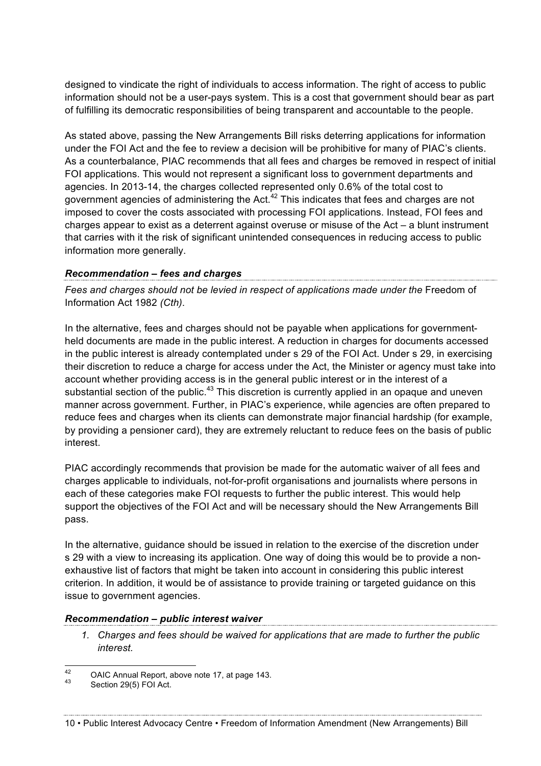designed to vindicate the right of individuals to access information. The right of access to public information should not be a user-pays system. This is a cost that government should bear as part of fulfilling its democratic responsibilities of being transparent and accountable to the people.

As stated above, passing the New Arrangements Bill risks deterring applications for information under the FOI Act and the fee to review a decision will be prohibitive for many of PIAC's clients. As a counterbalance, PIAC recommends that all fees and charges be removed in respect of initial FOI applications. This would not represent a significant loss to government departments and agencies. In 2013-14, the charges collected represented only 0.6% of the total cost to government agencies of administering the Act. $42$  This indicates that fees and charges are not imposed to cover the costs associated with processing FOI applications. Instead, FOI fees and charges appear to exist as a deterrent against overuse or misuse of the Act – a blunt instrument that carries with it the risk of significant unintended consequences in reducing access to public information more generally.

# *Recommendation – fees and charges*

Fees and charges should not be levied in respect of applications made under the Freedom of Information Act 1982 *(Cth)*.

In the alternative, fees and charges should not be payable when applications for governmentheld documents are made in the public interest. A reduction in charges for documents accessed in the public interest is already contemplated under s 29 of the FOI Act. Under s 29, in exercising their discretion to reduce a charge for access under the Act, the Minister or agency must take into account whether providing access is in the general public interest or in the interest of a substantial section of the public.<sup>43</sup> This discretion is currently applied in an opaque and uneven manner across government. Further, in PIAC's experience, while agencies are often prepared to reduce fees and charges when its clients can demonstrate major financial hardship (for example, by providing a pensioner card), they are extremely reluctant to reduce fees on the basis of public interest.

PIAC accordingly recommends that provision be made for the automatic waiver of all fees and charges applicable to individuals, not-for-profit organisations and journalists where persons in each of these categories make FOI requests to further the public interest. This would help support the objectives of the FOI Act and will be necessary should the New Arrangements Bill pass.

In the alternative, guidance should be issued in relation to the exercise of the discretion under s 29 with a view to increasing its application. One way of doing this would be to provide a nonexhaustive list of factors that might be taken into account in considering this public interest criterion. In addition, it would be of assistance to provide training or targeted guidance on this issue to government agencies.

### *Recommendation – public interest waiver*

*1. Charges and fees should be waived for applications that are made to further the public interest.*

<sup>42</sup> OAIC Annual Report, above note 17, at page 143.<br> $43$  Section 29(5) FOI Act.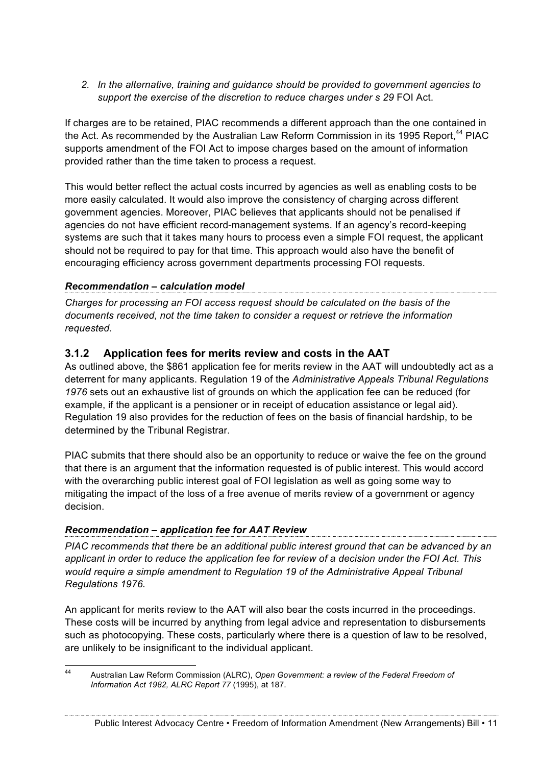*2. In the alternative, training and guidance should be provided to government agencies to support the exercise of the discretion to reduce charges under s 29* FOI Act.

If charges are to be retained, PIAC recommends a different approach than the one contained in the Act. As recommended by the Australian Law Reform Commission in its 1995 Report.<sup>44</sup> PIAC supports amendment of the FOI Act to impose charges based on the amount of information provided rather than the time taken to process a request.

This would better reflect the actual costs incurred by agencies as well as enabling costs to be more easily calculated. It would also improve the consistency of charging across different government agencies. Moreover, PIAC believes that applicants should not be penalised if agencies do not have efficient record-management systems. If an agency's record-keeping systems are such that it takes many hours to process even a simple FOI request, the applicant should not be required to pay for that time. This approach would also have the benefit of encouraging efficiency across government departments processing FOI requests.

#### *Recommendation – calculation model*

*Charges for processing an FOI access request should be calculated on the basis of the documents received, not the time taken to consider a request or retrieve the information requested.*

#### **3.1.2 Application fees for merits review and costs in the AAT**

As outlined above, the \$861 application fee for merits review in the AAT will undoubtedly act as a deterrent for many applicants. Regulation 19 of the *Administrative Appeals Tribunal Regulations 1976* sets out an exhaustive list of grounds on which the application fee can be reduced (for example, if the applicant is a pensioner or in receipt of education assistance or legal aid). Regulation 19 also provides for the reduction of fees on the basis of financial hardship, to be determined by the Tribunal Registrar.

PIAC submits that there should also be an opportunity to reduce or waive the fee on the ground that there is an argument that the information requested is of public interest. This would accord with the overarching public interest goal of FOI legislation as well as going some way to mitigating the impact of the loss of a free avenue of merits review of a government or agency decision.

#### *Recommendation – application fee for AAT Review*

*PIAC recommends that there be an additional public interest ground that can be advanced by an applicant in order to reduce the application fee for review of a decision under the FOI Act. This would require a simple amendment to Regulation 19 of the Administrative Appeal Tribunal Regulations 1976.*

An applicant for merits review to the AAT will also bear the costs incurred in the proceedings. These costs will be incurred by anything from legal advice and representation to disbursements such as photocopying. These costs, particularly where there is a question of law to be resolved, are unlikely to be insignificant to the individual applicant.

 <sup>44</sup> Australian Law Reform Commission (ALRC), *Open Government: a review of the Federal Freedom of Information Act 1982, ALRC Report 77* (1995), at 187.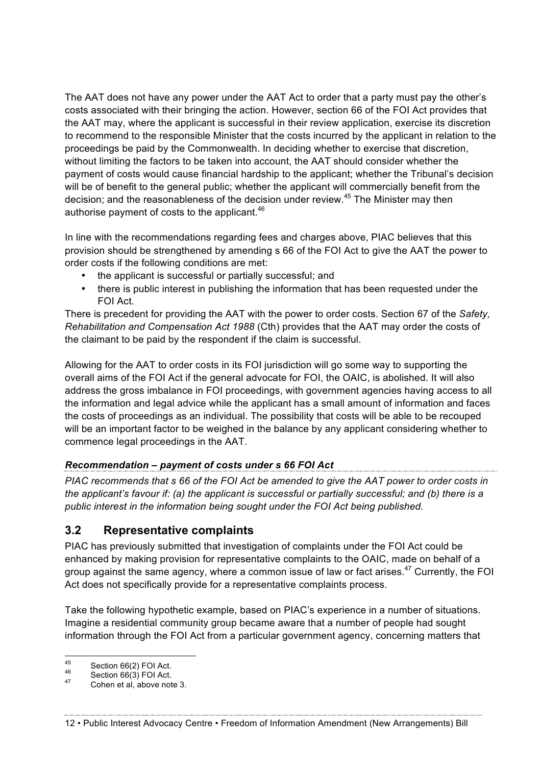The AAT does not have any power under the AAT Act to order that a party must pay the other's costs associated with their bringing the action. However, section 66 of the FOI Act provides that the AAT may, where the applicant is successful in their review application, exercise its discretion to recommend to the responsible Minister that the costs incurred by the applicant in relation to the proceedings be paid by the Commonwealth. In deciding whether to exercise that discretion, without limiting the factors to be taken into account, the AAT should consider whether the payment of costs would cause financial hardship to the applicant; whether the Tribunal's decision will be of benefit to the general public; whether the applicant will commercially benefit from the decision; and the reasonableness of the decision under review.<sup>45</sup> The Minister may then authorise payment of costs to the applicant.<sup>46</sup>

In line with the recommendations regarding fees and charges above, PIAC believes that this provision should be strengthened by amending s 66 of the FOI Act to give the AAT the power to order costs if the following conditions are met:

- the applicant is successful or partially successful; and
- there is public interest in publishing the information that has been requested under the FOI Act.

There is precedent for providing the AAT with the power to order costs. Section 67 of the *Safety, Rehabilitation and Compensation Act 1988* (Cth) provides that the AAT may order the costs of the claimant to be paid by the respondent if the claim is successful.

Allowing for the AAT to order costs in its FOI jurisdiction will go some way to supporting the overall aims of the FOI Act if the general advocate for FOI, the OAIC, is abolished. It will also address the gross imbalance in FOI proceedings, with government agencies having access to all the information and legal advice while the applicant has a small amount of information and faces the costs of proceedings as an individual. The possibility that costs will be able to be recouped will be an important factor to be weighed in the balance by any applicant considering whether to commence legal proceedings in the AAT.

#### *Recommendation – payment of costs under s 66 FOI Act*

*PIAC recommends that s 66 of the FOI Act be amended to give the AAT power to order costs in the applicant's favour if: (a) the applicant is successful or partially successful; and (b) there is a public interest in the information being sought under the FOI Act being published.*

# **3.2 Representative complaints**

PIAC has previously submitted that investigation of complaints under the FOI Act could be enhanced by making provision for representative complaints to the OAIC, made on behalf of a group against the same agency, where a common issue of law or fact arises.<sup>47</sup> Currently, the FOI Act does not specifically provide for a representative complaints process.

Take the following hypothetic example, based on PIAC's experience in a number of situations. Imagine a residential community group became aware that a number of people had sought information through the FOI Act from a particular government agency, concerning matters that

12 • Public Interest Advocacy Centre • Freedom of Information Amendment (New Arrangements) Bill

<sup>45</sup> Section 66(2) FOI Act.<br>
46 Section 66(3) FOI Act.<br>
47 Cohen et al. above note 3.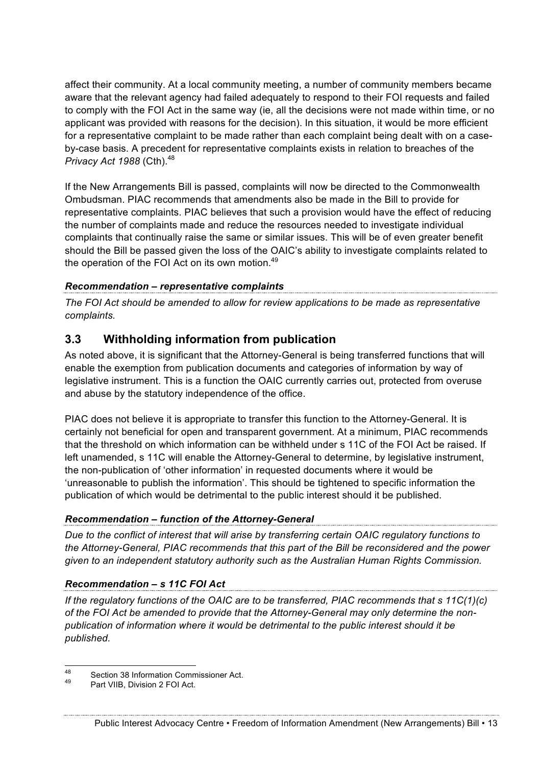affect their community. At a local community meeting, a number of community members became aware that the relevant agency had failed adequately to respond to their FOI requests and failed to comply with the FOI Act in the same way (ie, all the decisions were not made within time, or no applicant was provided with reasons for the decision). In this situation, it would be more efficient for a representative complaint to be made rather than each complaint being dealt with on a caseby-case basis. A precedent for representative complaints exists in relation to breaches of the *Privacy Act 1988* (Cth).<sup>48</sup>

If the New Arrangements Bill is passed, complaints will now be directed to the Commonwealth Ombudsman. PIAC recommends that amendments also be made in the Bill to provide for representative complaints. PIAC believes that such a provision would have the effect of reducing the number of complaints made and reduce the resources needed to investigate individual complaints that continually raise the same or similar issues. This will be of even greater benefit should the Bill be passed given the loss of the OAIC's ability to investigate complaints related to the operation of the FOI Act on its own motion.<sup>49</sup>

#### *Recommendation – representative complaints*

*The FOI Act should be amended to allow for review applications to be made as representative complaints.*

## **3.3 Withholding information from publication**

As noted above, it is significant that the Attorney-General is being transferred functions that will enable the exemption from publication documents and categories of information by way of legislative instrument. This is a function the OAIC currently carries out, protected from overuse and abuse by the statutory independence of the office.

PIAC does not believe it is appropriate to transfer this function to the Attorney-General. It is certainly not beneficial for open and transparent government. At a minimum, PIAC recommends that the threshold on which information can be withheld under s 11C of the FOI Act be raised. If left unamended, s 11C will enable the Attorney-General to determine, by legislative instrument, the non-publication of 'other information' in requested documents where it would be 'unreasonable to publish the information'. This should be tightened to specific information the publication of which would be detrimental to the public interest should it be published.

#### *Recommendation – function of the Attorney-General*

*Due to the conflict of interest that will arise by transferring certain OAIC regulatory functions to the Attorney-General, PIAC recommends that this part of the Bill be reconsidered and the power given to an independent statutory authority such as the Australian Human Rights Commission.* 

#### *Recommendation – s 11C FOI Act*

*If the regulatory functions of the OAIC are to be transferred, PIAC recommends that s 11C(1)(c) of the FOI Act be amended to provide that the Attorney-General may only determine the nonpublication of information where it would be detrimental to the public interest should it be published.*

<sup>48</sup> Section 38 Information Commissioner Act.<br>49 Part VIIB, Division 2 FOI Act.